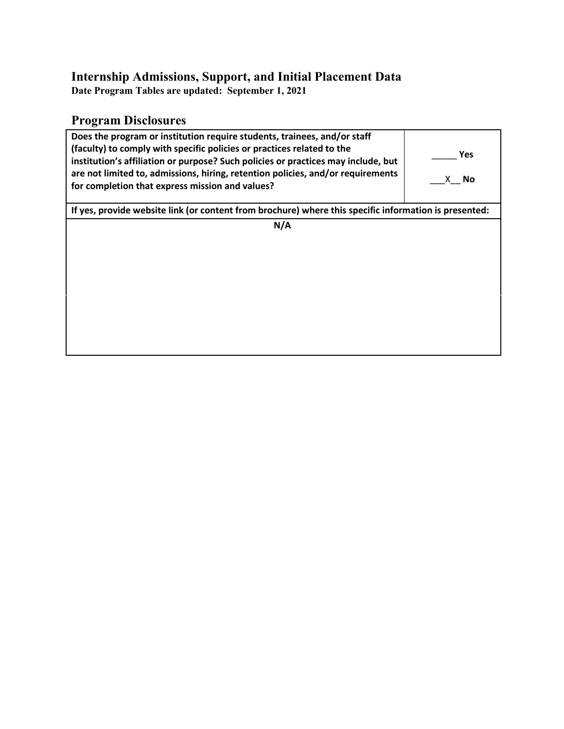### **Internship Admissions, Support, and Initial Placement Data**

**Date Program Tables are updated: September 1, 2021**

# **Program Disclosures**

| Does the program or institution require students, trainees, and/or staff<br>(faculty) to comply with specific policies or practices related to the<br>institution's affiliation or purpose? Such policies or practices may include, but<br>are not limited to, admissions, hiring, retention policies, and/or requirements<br>for completion that express mission and values? | Yes<br>X No |  |  |  |  |
|-------------------------------------------------------------------------------------------------------------------------------------------------------------------------------------------------------------------------------------------------------------------------------------------------------------------------------------------------------------------------------|-------------|--|--|--|--|
| If yes, provide website link (or content from brochure) where this specific information is presented:                                                                                                                                                                                                                                                                         |             |  |  |  |  |
| N/A                                                                                                                                                                                                                                                                                                                                                                           |             |  |  |  |  |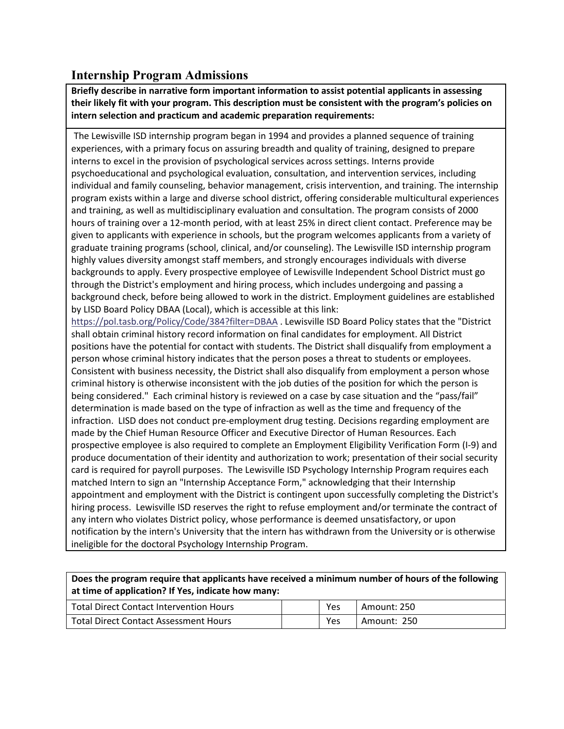## **Internship Program Admissions**

**Briefly describe in narrative form important information to assist potential applicants in assessing their likely fit with your program. This description must be consistent with the program's policies on intern selection and practicum and academic preparation requirements:**

The Lewisville ISD internship program began in 1994 and provides a planned sequence of training experiences, with a primary focus on assuring breadth and quality of training, designed to prepare interns to excel in the provision of psychological services across settings. Interns provide psychoeducational and psychological evaluation, consultation, and intervention services, including individual and family counseling, behavior management, crisis intervention, and training. The internship program exists within a large and diverse school district, offering considerable multicultural experiences and training, as well as multidisciplinary evaluation and consultation. The program consists of 2000 hours of training over a 12-month period, with at least 25% in direct client contact. Preference may be given to applicants with experience in schools, but the program welcomes applicants from a variety of graduate training programs (school, clinical, and/or counseling). The Lewisville ISD internship program highly values diversity amongst staff members, and strongly encourages individuals with diverse backgrounds to apply. Every prospective employee of Lewisville Independent School District must go through the District's employment and hiring process, which includes undergoing and passing a background check, before being allowed to work in the district. Employment guidelines are established by LISD Board Policy DBAA (Local), which is accessible at this link:

https://pol.tasb.org/Policy/Code/384?filter=DBAA . Lewisville ISD Board Policy states that the "District shall obtain criminal history record information on final candidates for employment. All District positions have the potential for contact with students. The District shall disqualify from employment a person whose criminal history indicates that the person poses a threat to students or employees. Consistent with business necessity, the District shall also disqualify from employment a person whose criminal history is otherwise inconsistent with the job duties of the position for which the person is being considered." Each criminal history is reviewed on a case by case situation and the "pass/fail" determination is made based on the type of infraction as well as the time and frequency of the infraction. LISD does not conduct pre-employment drug testing. Decisions regarding employment are made by the Chief Human Resource Officer and Executive Director of Human Resources. Each prospective employee is also required to complete an Employment Eligibility Verification Form (I-9) and produce documentation of their identity and authorization to work; presentation of their social security card is required for payroll purposes. The Lewisville ISD Psychology Internship Program requires each matched Intern to sign an "Internship Acceptance Form," acknowledging that their Internship appointment and employment with the District is contingent upon successfully completing the District's hiring process. Lewisville ISD reserves the right to refuse employment and/or terminate the contract of any intern who violates District policy, whose performance is deemed unsatisfactory, or upon notification by the intern's University that the intern has withdrawn from the University or is otherwise ineligible for the doctoral Psychology Internship Program.

**Does the program require that applicants have received a minimum number of hours of the following at time of application? If Yes, indicate how many:**

| Total Direct Contact Intervention Hours      | <b>Yes</b> | Amount: 250 |
|----------------------------------------------|------------|-------------|
| <b>Total Direct Contact Assessment Hours</b> | <b>Yes</b> | Amount: 250 |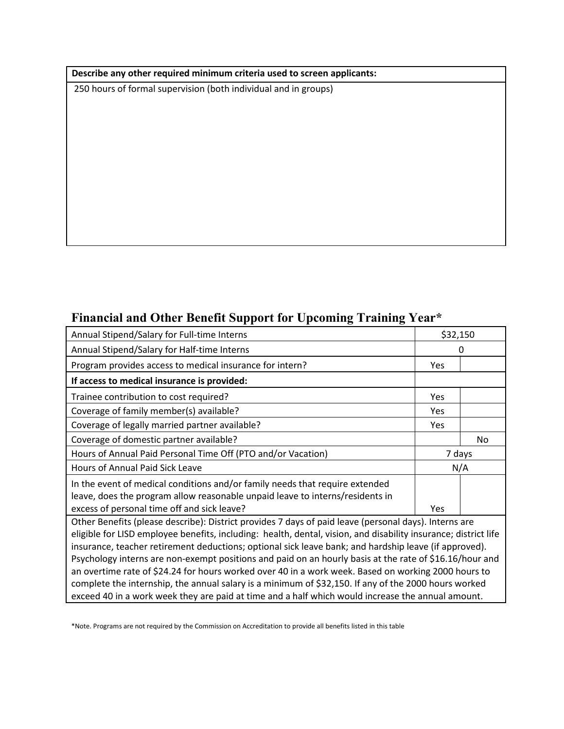#### **Describe any other required minimum criteria used to screen applicants:**

250 hours of formal supervision (both individual and in groups)

# **Financial and Other Benefit Support for Upcoming Training Year\***

| Annual Stipend/Salary for Full-time Interns                                                                                                                                                                                                                                                                                       | \$32,150   |    |  |  |  |
|-----------------------------------------------------------------------------------------------------------------------------------------------------------------------------------------------------------------------------------------------------------------------------------------------------------------------------------|------------|----|--|--|--|
| Annual Stipend/Salary for Half-time Interns                                                                                                                                                                                                                                                                                       |            | 0  |  |  |  |
| Program provides access to medical insurance for intern?                                                                                                                                                                                                                                                                          | <b>Yes</b> |    |  |  |  |
| If access to medical insurance is provided:                                                                                                                                                                                                                                                                                       |            |    |  |  |  |
| Trainee contribution to cost required?                                                                                                                                                                                                                                                                                            | Yes        |    |  |  |  |
| Coverage of family member(s) available?                                                                                                                                                                                                                                                                                           | <b>Yes</b> |    |  |  |  |
| Coverage of legally married partner available?                                                                                                                                                                                                                                                                                    | Yes        |    |  |  |  |
| Coverage of domestic partner available?                                                                                                                                                                                                                                                                                           |            | No |  |  |  |
| Hours of Annual Paid Personal Time Off (PTO and/or Vacation)                                                                                                                                                                                                                                                                      | 7 days     |    |  |  |  |
| Hours of Annual Paid Sick Leave                                                                                                                                                                                                                                                                                                   | N/A        |    |  |  |  |
| In the event of medical conditions and/or family needs that require extended                                                                                                                                                                                                                                                      |            |    |  |  |  |
| leave, does the program allow reasonable unpaid leave to interns/residents in                                                                                                                                                                                                                                                     |            |    |  |  |  |
| excess of personal time off and sick leave?                                                                                                                                                                                                                                                                                       | Yes        |    |  |  |  |
| Other Benefits (please describe): District provides 7 days of paid leave (personal days). Interns are<br>eligible for LISD employee benefits, including: health, dental, vision, and disability insurance; district life<br>insurance, teacher retirement deductions; optional sick leave bank; and hardship leave (if approved). |            |    |  |  |  |
| Psychology interns are non-exempt positions and paid on an hourly basis at the rate of \$16.16/hour and                                                                                                                                                                                                                           |            |    |  |  |  |
| an overtime rate of \$24.24 for hours worked over 40 in a work week. Based on working 2000 hours to                                                                                                                                                                                                                               |            |    |  |  |  |
| complete the internship, the annual salary is a minimum of \$32,150. If any of the 2000 hours worked                                                                                                                                                                                                                              |            |    |  |  |  |
| exceed 40 in a work week they are paid at time and a half which would increase the annual amount.                                                                                                                                                                                                                                 |            |    |  |  |  |

\*Note. Programs are not required by the Commission on Accreditation to provide all benefits listed in this table